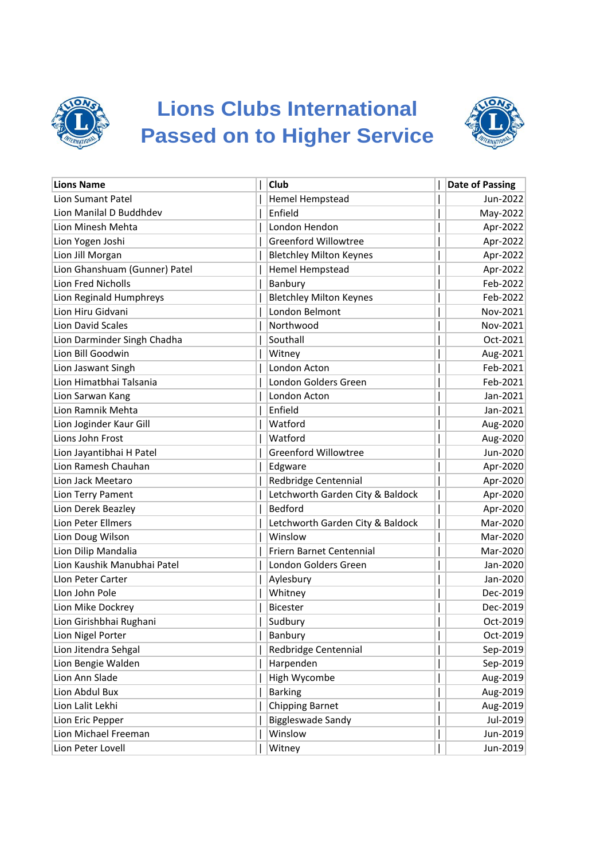

## **Lions Clubs International Passed on to Higher Service**



| <b>Lions Name</b>             | Club                             | <b>Date of Passing</b> |
|-------------------------------|----------------------------------|------------------------|
| Lion Sumant Patel             | Hemel Hempstead                  | Jun-2022               |
| Lion Manilal D Buddhdev       | Enfield                          | May-2022               |
| Lion Minesh Mehta             | London Hendon                    | Apr-2022               |
| Lion Yogen Joshi              | <b>Greenford Willowtree</b>      | Apr-2022               |
| Lion Jill Morgan              | <b>Bletchley Milton Keynes</b>   | Apr-2022               |
| Lion Ghanshuam (Gunner) Patel | <b>Hemel Hempstead</b>           | Apr-2022               |
| <b>Lion Fred Nicholls</b>     | Banbury                          | Feb-2022               |
| Lion Reginald Humphreys       | <b>Bletchley Milton Keynes</b>   | Feb-2022               |
| Lion Hiru Gidvani             | London Belmont                   | Nov-2021               |
| Lion David Scales             | Northwood                        | Nov-2021               |
| Lion Darminder Singh Chadha   | Southall                         | Oct-2021               |
| Lion Bill Goodwin             | Witney                           | Aug-2021               |
| Lion Jaswant Singh            | London Acton                     | Feb-2021               |
| Lion Himatbhai Talsania       | London Golders Green             | Feb-2021               |
| Lion Sarwan Kang              | London Acton                     | Jan-2021               |
| Lion Ramnik Mehta             | Enfield                          | Jan-2021               |
| Lion Joginder Kaur Gill       | Watford                          | Aug-2020               |
| Lions John Frost              | Watford                          | Aug-2020               |
| Lion Jayantibhai H Patel      | <b>Greenford Willowtree</b>      | Jun-2020               |
| Lion Ramesh Chauhan           | Edgware                          | Apr-2020               |
| Lion Jack Meetaro             | Redbridge Centennial             | Apr-2020               |
| Lion Terry Pament             | Letchworth Garden City & Baldock | Apr-2020               |
| Lion Derek Beazley            | Bedford                          | Apr-2020               |
| Lion Peter Ellmers            | Letchworth Garden City & Baldock | Mar-2020               |
| Lion Doug Wilson              | Winslow                          | Mar-2020               |
| Lion Dilip Mandalia           | Friern Barnet Centennial         | Mar-2020               |
| Lion Kaushik Manubhai Patel   | London Golders Green             | Jan-2020               |
| Llon Peter Carter             | Aylesbury                        | Jan-2020               |
| Llon John Pole                | Whitney                          | Dec-2019               |
| Lion Mike Dockrey             | <b>Bicester</b>                  | Dec-2019               |
| Lion Girishbhai Rughani       | Sudbury                          | Oct-2019               |
| Lion Nigel Porter             | Banbury                          | Oct-2019               |
| Lion Jitendra Sehgal          | Redbridge Centennial             | Sep-2019               |
| Lion Bengie Walden            | Harpenden                        | Sep-2019               |
| Lion Ann Slade                | High Wycombe                     | Aug-2019               |
| Lion Abdul Bux                | <b>Barking</b>                   | Aug-2019               |
| Lion Lalit Lekhi              | <b>Chipping Barnet</b>           | Aug-2019               |
| Lion Eric Pepper              | <b>Biggleswade Sandy</b>         | Jul-2019               |
| Lion Michael Freeman          | Winslow                          | Jun-2019               |
| Lion Peter Lovell             | Witney                           | Jun-2019               |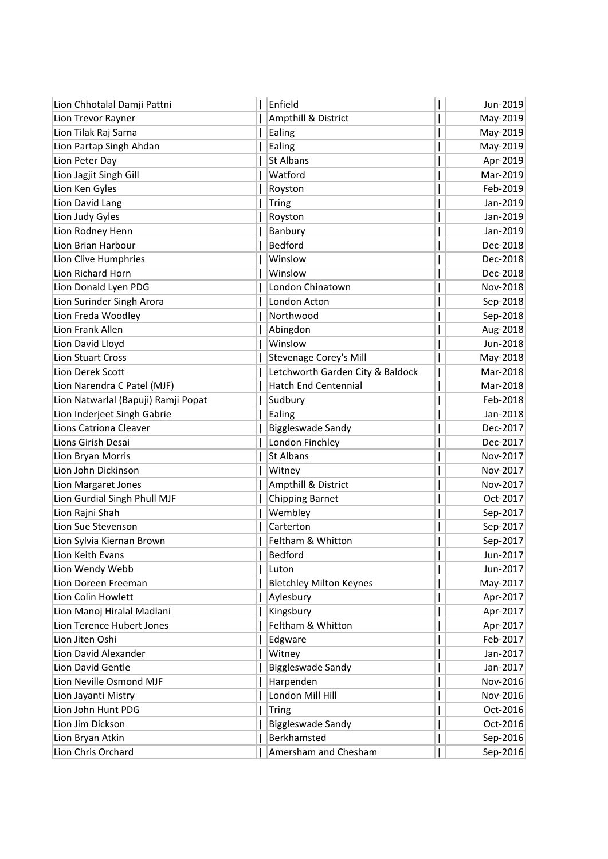| Lion Chhotalal Damji Pattni         | Enfield                          |   | Jun-2019 |
|-------------------------------------|----------------------------------|---|----------|
| Lion Trevor Rayner                  | Ampthill & District              |   | May-2019 |
| Lion Tilak Raj Sarna                | Ealing                           |   | May-2019 |
| Lion Partap Singh Ahdan             | Ealing                           |   | May-2019 |
| Lion Peter Day                      | St Albans                        |   | Apr-2019 |
| Lion Jagjit Singh Gill              | Watford                          |   | Mar-2019 |
| Lion Ken Gyles                      | Royston                          |   | Feb-2019 |
| Lion David Lang                     | <b>Tring</b>                     |   | Jan-2019 |
| Lion Judy Gyles                     | Royston                          |   | Jan-2019 |
| Lion Rodney Henn                    | Banbury                          |   | Jan-2019 |
| Lion Brian Harbour                  | Bedford                          |   | Dec-2018 |
| Lion Clive Humphries                | Winslow                          |   | Dec-2018 |
| Lion Richard Horn                   | Winslow                          |   | Dec-2018 |
| Lion Donald Lyen PDG                | London Chinatown                 |   | Nov-2018 |
| Lion Surinder Singh Arora           | London Acton                     |   | Sep-2018 |
| Lion Freda Woodley                  | Northwood                        |   | Sep-2018 |
| Lion Frank Allen                    | Abingdon                         |   | Aug-2018 |
| Lion David Lloyd                    | Winslow                          |   | Jun-2018 |
| <b>Lion Stuart Cross</b>            | Stevenage Corey's Mill           |   | May-2018 |
| Lion Derek Scott                    | Letchworth Garden City & Baldock |   | Mar-2018 |
| Lion Narendra C Patel (MJF)         | <b>Hatch End Centennial</b>      |   | Mar-2018 |
| Lion Natwarlal (Bapuji) Ramji Popat | Sudbury                          |   | Feb-2018 |
| Lion Inderjeet Singh Gabrie         | Ealing                           |   | Jan-2018 |
| Lions Catriona Cleaver              | Biggleswade Sandy                |   | Dec-2017 |
| Lions Girish Desai                  | London Finchley                  |   | Dec-2017 |
| Lion Bryan Morris                   | <b>St Albans</b>                 |   | Nov-2017 |
| Lion John Dickinson                 | Witney                           |   | Nov-2017 |
| Lion Margaret Jones                 | Ampthill & District              |   | Nov-2017 |
| Lion Gurdial Singh Phull MJF        | <b>Chipping Barnet</b>           |   | Oct-2017 |
| Lion Rajni Shah                     | Wembley                          |   | Sep-2017 |
| Lion Sue Stevenson                  | Carterton                        |   | Sep-2017 |
| Lion Sylvia Kiernan Brown           | Feltham & Whitton                |   | Sep-2017 |
| Lion Keith Evans                    | Bedford                          | L | Jun-2017 |
| Lion Wendy Webb                     | Luton                            |   | Jun-2017 |
| Lion Doreen Freeman                 | <b>Bletchley Milton Keynes</b>   |   | May-2017 |
| Lion Colin Howlett                  | Aylesbury                        |   | Apr-2017 |
| Lion Manoj Hiralal Madlani          | Kingsbury                        |   | Apr-2017 |
| Lion Terence Hubert Jones           | Feltham & Whitton                |   | Apr-2017 |
| Lion Jiten Oshi                     | Edgware                          |   | Feb-2017 |
| Lion David Alexander                | Witney                           |   | Jan-2017 |
| Lion David Gentle                   | Biggleswade Sandy                |   | Jan-2017 |
| Lion Neville Osmond MJF             | Harpenden                        |   | Nov-2016 |
| Lion Jayanti Mistry                 | London Mill Hill                 |   | Nov-2016 |
| Lion John Hunt PDG                  | <b>Tring</b>                     |   | Oct-2016 |
| Lion Jim Dickson                    | <b>Biggleswade Sandy</b>         |   | Oct-2016 |
| Lion Bryan Atkin                    | Berkhamsted                      |   | Sep-2016 |
| Lion Chris Orchard                  | Amersham and Chesham             |   | Sep-2016 |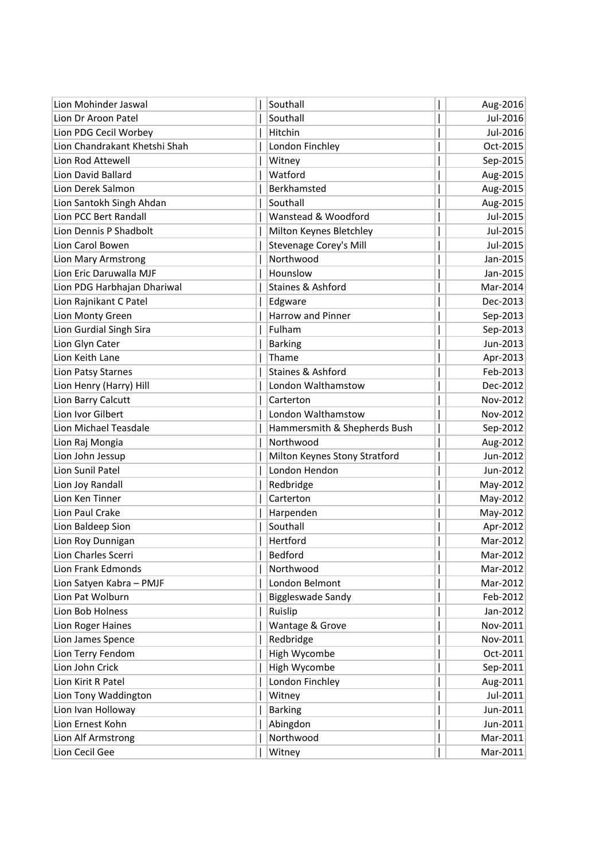| Lion Mohinder Jaswal                 | Southall                      |   | Aug-2016             |
|--------------------------------------|-------------------------------|---|----------------------|
| Lion Dr Aroon Patel                  | Southall                      |   | Jul-2016             |
| Lion PDG Cecil Worbey                | Hitchin                       |   | Jul-2016             |
| Lion Chandrakant Khetshi Shah        | London Finchley               |   | Oct-2015             |
| Lion Rod Attewell                    | Witney                        |   | Sep-2015             |
| Lion David Ballard                   | Watford                       |   | Aug-2015             |
| Lion Derek Salmon                    | Berkhamsted                   |   | Aug-2015             |
| Lion Santokh Singh Ahdan             | Southall                      |   | Aug-2015             |
| Lion PCC Bert Randall                | Wanstead & Woodford           |   | Jul-2015             |
| Lion Dennis P Shadbolt               | Milton Keynes Bletchley       |   | Jul-2015             |
| Lion Carol Bowen                     | <b>Stevenage Corey's Mill</b> |   | Jul-2015             |
| Lion Mary Armstrong                  | Northwood                     |   | Jan-2015             |
| Lion Eric Daruwalla MJF              | Hounslow                      |   | Jan-2015             |
| Lion PDG Harbhajan Dhariwal          | Staines & Ashford             |   | Mar-2014             |
| Lion Rajnikant C Patel               | Edgware                       |   | Dec-2013             |
| Lion Monty Green                     | <b>Harrow and Pinner</b>      |   | Sep-2013             |
| Lion Gurdial Singh Sira              | Fulham                        |   | Sep-2013             |
| Lion Glyn Cater                      | <b>Barking</b>                |   | Jun-2013             |
| Lion Keith Lane                      | Thame                         |   | Apr-2013             |
| Lion Patsy Starnes                   | <b>Staines &amp; Ashford</b>  |   | Feb-2013             |
| Lion Henry (Harry) Hill              | London Walthamstow            |   | Dec-2012             |
| Lion Barry Calcutt                   | Carterton                     |   | Nov-2012             |
| Lion Ivor Gilbert                    | London Walthamstow            |   | Nov-2012             |
| Lion Michael Teasdale                | Hammersmith & Shepherds Bush  |   | Sep-2012             |
| Lion Raj Mongia                      | Northwood                     |   | Aug-2012             |
| Lion John Jessup                     | Milton Keynes Stony Stratford |   | Jun-2012             |
| Lion Sunil Patel                     | London Hendon                 |   | Jun-2012             |
| Lion Joy Randall                     | Redbridge                     |   | May-2012             |
| Lion Ken Tinner                      | Carterton                     |   | May-2012             |
| Lion Paul Crake                      | Harpenden                     |   | May-2012             |
| Lion Baldeep Sion                    | Southall                      |   | Apr-2012             |
| Lion Roy Dunnigan                    | Hertford                      |   | Mar-2012             |
| Lion Charles Scerri                  | Bedford                       | т | Mar-2012             |
| Lion Frank Edmonds                   | Northwood                     |   | Mar-2012             |
| Lion Satyen Kabra - PMJF             | London Belmont                |   | Mar-2012             |
| Lion Pat Wolburn                     | <b>Biggleswade Sandy</b>      |   | Feb-2012             |
| Lion Bob Holness                     | Ruislip                       |   | Jan-2012             |
| Lion Roger Haines                    | Wantage & Grove               |   | Nov-2011<br>Nov-2011 |
| Lion James Spence                    | Redbridge                     |   |                      |
| Lion Terry Fendom<br>Lion John Crick | High Wycombe<br>High Wycombe  |   | Oct-2011<br>Sep-2011 |
| Lion Kirit R Patel                   | London Finchley               |   | Aug-2011             |
| Lion Tony Waddington                 | Witney                        |   | Jul-2011             |
| Lion Ivan Holloway                   | <b>Barking</b>                |   | Jun-2011             |
| Lion Ernest Kohn                     | Abingdon                      |   | Jun-2011             |
| Lion Alf Armstrong                   | Northwood                     |   | Mar-2011             |
| Lion Cecil Gee                       | Witney                        |   | Mar-2011             |
|                                      |                               |   |                      |